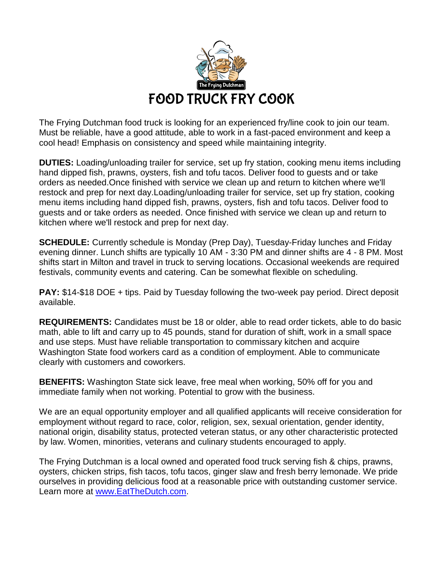

The Frying Dutchman food truck is looking for an experienced fry/line cook to join our team. Must be reliable, have a good attitude, able to work in a fast-paced environment and keep a cool head! Emphasis on consistency and speed while maintaining integrity.

**DUTIES:** Loading/unloading trailer for service, set up fry station, cooking menu items including hand dipped fish, prawns, oysters, fish and tofu tacos. Deliver food to guests and or take orders as needed.Once finished with service we clean up and return to kitchen where we'll restock and prep for next day.Loading/unloading trailer for service, set up fry station, cooking menu items including hand dipped fish, prawns, oysters, fish and tofu tacos. Deliver food to guests and or take orders as needed. Once finished with service we clean up and return to kitchen where we'll restock and prep for next day.

**SCHEDULE:** Currently schedule is Monday (Prep Day), Tuesday-Friday lunches and Friday evening dinner. Lunch shifts are typically 10 AM - 3:30 PM and dinner shifts are 4 - 8 PM. Most shifts start in Milton and travel in truck to serving locations. Occasional weekends are required festivals, community events and catering. Can be somewhat flexible on scheduling.

**PAY:** \$14-\$18 DOE + tips. Paid by Tuesday following the two-week pay period. Direct deposit available.

**REQUIREMENTS:** Candidates must be 18 or older, able to read order tickets, able to do basic math, able to lift and carry up to 45 pounds, stand for duration of shift, work in a small space and use steps. Must have reliable transportation to commissary kitchen and acquire Washington State food workers card as a condition of employment. Able to communicate clearly with customers and coworkers.

**BENEFITS:** Washington State sick leave, free meal when working, 50% off for you and immediate family when not working. Potential to grow with the business.

We are an equal opportunity employer and all qualified applicants will receive consideration for employment without regard to race, color, religion, sex, sexual orientation, gender identity, national origin, disability status, protected veteran status, or any other characteristic protected by law. Women, minorities, veterans and culinary students encouraged to apply.

The Frying Dutchman is a local owned and operated food truck serving fish & chips, prawns, oysters, chicken strips, fish tacos, tofu tacos, ginger slaw and fresh berry lemonade. We pride ourselves in providing delicious food at a reasonable price with outstanding customer service. Learn more at [www.EatTheDutch.com.](http://www.eatthedutch.com/)